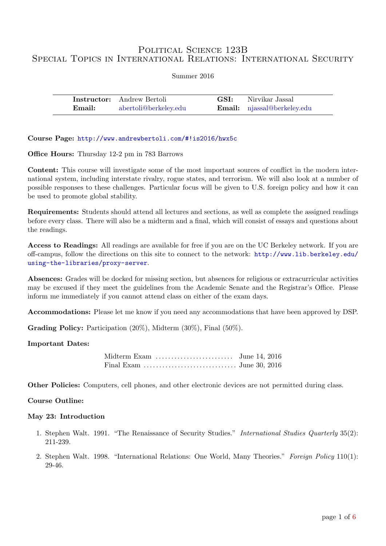# POLITICAL SCIENCE 123B Special Topics in International Relations: International Security

| Summer 2016 |  |
|-------------|--|
|-------------|--|

|        | <b>Instructor:</b> Andrew Bertoli | <b>GSI:</b> Nirvikar Jassal        |
|--------|-----------------------------------|------------------------------------|
| Email: | abertoli@berkeley.edu             | <b>Email:</b> njassal@berkeley.edu |

Course Page: <http://www.andrewbertoli.com/#!is2016/hwx5c>

Office Hours: Thursday 12-2 pm in 783 Barrows

Content: This course will investigate some of the most important sources of conflict in the modern international system, including interstate rivalry, rogue states, and terrorism. We will also look at a number of possible responses to these challenges. Particular focus will be given to U.S. foreign policy and how it can be used to promote global stability.

Requirements: Students should attend all lectures and sections, as well as complete the assigned readings before every class. There will also be a midterm and a final, which will consist of essays and questions about the readings.

Access to Readings: All readings are available for free if you are on the UC Berkeley network. If you are off-campus, follow the directions on this site to connect to the network: [http://www.lib.berkeley.edu/](http://www.lib.berkeley.edu/using-the-libraries/proxy-server) [using-the-libraries/proxy-server](http://www.lib.berkeley.edu/using-the-libraries/proxy-server).

Absences: Grades will be docked for missing section, but absences for religious or extracurricular activities may be excused if they meet the guidelines from the Academic Senate and the Registrar's Office. Please inform me immediately if you cannot attend class on either of the exam days.

Accommodations: Please let me know if you need any accommodations that have been approved by DSP.

Grading Policy: Participation (20%), Midterm (30%), Final (50%).

### Important Dates:

| Midterm Exam $\dots\dots\dots\dots\dots\dots\dots$ June 14, 2016 |  |
|------------------------------------------------------------------|--|
|                                                                  |  |

Other Policies: Computers, cell phones, and other electronic devices are not permitted during class.

# Course Outline:

### May 23: Introduction

- 1. [Stephen Walt. 1991. "The Renaissance of Security Studies."](http://www.jstor.org/stable/2600471) International Studies Quarterly 35(2): [211-239.](http://www.jstor.org/stable/2600471)
- 2. [Stephen Walt. 1998. "International Relations: One World, Many Theories."](http://www.jstor.org/stable/1149275) Foreign Policy 110(1): [29-46.](http://www.jstor.org/stable/1149275)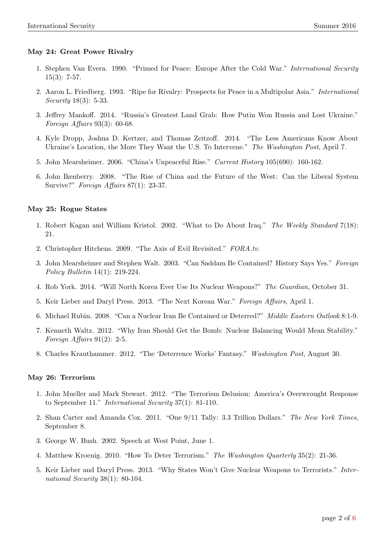# May 24: Great Power Rivalry

- 1. [Stephen Van Evera. 1990. "Primed for Peace: Europe After the Cold War."](http://www.jstor.org/stable/2538906) International Security  $15(3): 7-57.$
- 2. [Aaron L. Friedberg. 1993. "Ripe for Rivalry: Prospects for Peace in a Multipolar Asia."](http://www.jstor.org/stable/2539204) International Security [18\(3\): 5-33.](http://www.jstor.org/stable/2539204)
- 3. [Jeffrey Mankoff. 2014. "Russia's Greatest Land Grab: How Putin Won Russia and Lost Ukraine."](http://www.foreignaffairs.com/articles/141210/jeffrey-mankoff/russias-latest-land-grab) [Foreign Affairs](http://www.foreignaffairs.com/articles/141210/jeffrey-mankoff/russias-latest-land-grab) 93(3): 60-68.
- 4. [Kyle Dropp, Joshua D. Kertzer, and Thomas Zeitzoff. 2014. "The Less Americans Know About](http://www.washingtonpost.com/blogs/monkey-cage/wp/2014/04/07/the-less-americans-know-about-ukraines-location-the-more-they-want-u-s-to-intervene/) [Ukraine's Location, the More They Want the U.S. To Intervene."](http://www.washingtonpost.com/blogs/monkey-cage/wp/2014/04/07/the-less-americans-know-about-ukraines-location-the-more-they-want-u-s-to-intervene/) The Washington Post, April 7.
- 5. [John Mearsheimer. 2006. "China's Unpeaceful Rise."](http://mearsheimer.uchicago.edu/pdfs/A0051.pdf) Current History 105(690): 160-162.
- 6. [John Ikenberry. 2008. "The Rise of China and the Future of the West: Can the Liberal System](http://www.jstor.org/stable/20020265) Survive?" [Foreign Affairs](http://www.jstor.org/stable/20020265) 87(1): 23-37.

# May 25: Rogue States

- 1. [Robert Kagan and William Kristol. 2002. "What to Do About Iraq."](http://www.weeklystandard.com/Content/Public/Articles/000/000/000/768pylwj.asp?page=1) The Weekly Standard 7(18): [21.](http://www.weeklystandard.com/Content/Public/Articles/000/000/000/768pylwj.asp?page=1)
- 2. [Christopher Hitchens. 2009. "The Axis of Evil Revisited."](http://www.tubechop.com/watch/6361810) FORA.tv.
- 3. [John Mearsheimer and Stephen Walt. 2003. "Can Saddam Be Contained? History Says Yes."](http://journals.cambridge.org/action/displayAbstract?fromPage=online&aid=3899680&fileId=S1052703600006109) Foreign Policy Bulletin [14\(1\): 219-224.](http://journals.cambridge.org/action/displayAbstract?fromPage=online&aid=3899680&fileId=S1052703600006109)
- 4. [Rob York. 2014. "Will North Korea Ever Use Its Nuclear Weapons?"](http://www.theguardian.com/world/2014/oct/31/sp-north-korea-nuclear-weapons) The Guardian, October 31.
- 5. [Keir Lieber and Daryl Press. 2013. "The Next Korean War."](http://www.foreignaffairs.com/articles/139091/keir-a-lieber-and-daryl-g-press/the-next-korean-war) Foreign Affairs, April 1.
- 6. [Michael Rubin. 2008. "Can a Nuclear Iran Be Contained or Deterred?"](http://large.stanford.edu/courses/2013/ph241/perret2/docs/rubin.pdf) Middle Eastern Outlook 8:1-9.
- 7. [Kenneth Waltz. 2012. "Why Iran Should Get the Bomb: Nuclear Balancing Would Mean Stability."](http://www.acsu.buffalo.edu/~fczagare/PSC%20504/Waltz.pdf) [Foreign Affairs](http://www.acsu.buffalo.edu/~fczagare/PSC%20504/Waltz.pdf)  $91(2)$ : 2-5.
- 8. [Charles Krauthammer. 2012. "The 'Deterrence Works' Fantasy."](https://www.washingtonpost.com/opinions/charles-krauthammer-the-deterrence-works-fantasy/2012/08/30/20c0a3ea-f2d8-11e1-892d-bc92fee603a7_story.html?utm_term=.38ab4b7c6d56) Washington Post, August 30.

### May 26: Terrorism

- 1. [John Mueller and Mark Stewart. 2012. "The Terrorism Delusion: America's Overwrought Response](https://www.ciaonet.org/catalog/25726) to September 11." [International Security](https://www.ciaonet.org/catalog/25726) 37(1): 81-110.
- 2. [Shan Carter and Amanda Cox. 2011. "One 9/11 Tally: 3.3 Trillion Dollars."](http://www.nytimes.com/interactive/2011/09/08/us/sept-11-reckoning/cost-graphic.html) The New York Times, [September 8.](http://www.nytimes.com/interactive/2011/09/08/us/sept-11-reckoning/cost-graphic.html)
- 3. [George W. Bush. 2002. Speech at West Point, June 1.](http://www.nytimes.com/2002/06/01/international/02PTEX-WEB.html?pagewanted=1)
- 4. [Matthew Kroenig. 2010. "How To Deter Terrorism."](http://www.tandfonline.com/doi/full/10.1080/0163660X.2012.665339) The Washington Quarterly 35(2): 21-36.
- 5. [Keir Lieber and Daryl Press. 2013. "Why States Won't Give Nuclear Weapons to Terrorists."](http://belfercenter.ksg.harvard.edu/publication/23296/why_states_wont_give_nuclear_weapons_to_terrorists.html) Inter[national Security](http://belfercenter.ksg.harvard.edu/publication/23296/why_states_wont_give_nuclear_weapons_to_terrorists.html) 38(1): 80-104.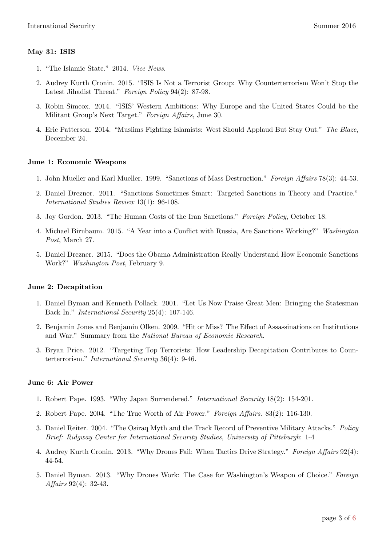# May 31: ISIS

- 1. ["The Islamic State." 2014.](https://www.youtube.com/watch?v=AUjHb4C7b94) Vice News.
- 2. [Audrey Kurth Cronin. 2015. "ISIS Is Not a Terrorist Group: Why Counterterrorism Won't Stop the](http://www.foreignaffairs.com/articles/143043/audrey-kurth-cronin/isis-is-not-a-terrorist-group) [Latest Jihadist Threat."](http://www.foreignaffairs.com/articles/143043/audrey-kurth-cronin/isis-is-not-a-terrorist-group) Foreign Policy 94(2): 87-98.
- 3. [Robin Simcox. 2014. "ISIS' Western Ambitions: Why Europe and the United States Could be the](http://www.foreignaffairs.com/articles/141611/robin-simcox/isis-western-ambitions) [Militant Group's Next Target."](http://www.foreignaffairs.com/articles/141611/robin-simcox/isis-western-ambitions) Foreign Affairs, June 30.
- 4. [Eric Patterson. 2014. "Muslims Fighting Islamists: West Should Applaud But Stay Out."](http://www.theblaze.com/contributions/muslims-fighting-islamists-west-should-applaud-but-stay-out/) The Blaze, [December 24.](http://www.theblaze.com/contributions/muslims-fighting-islamists-west-should-applaud-but-stay-out/)

# June 1: Economic Weapons

- 1. [John Mueller and Karl Mueller. 1999. "Sanctions of Mass Destruction."](http://www.jstor.org/stable/20049279) Foreign Affairs 78(3): 44-53.
- 2. [Daniel Drezner. 2011. "Sanctions Sometimes Smart: Targeted Sanctions in Theory and Practice."](http://onlinelibrary.wiley.com/doi/10.1111/j.1468-2486.2010.01001.x/full) [International Studies Review](http://onlinelibrary.wiley.com/doi/10.1111/j.1468-2486.2010.01001.x/full) 13(1): 96-108.
- 3. [Joy Gordon. 2013. "The Human Costs of the Iran Sanctions."](http://foreignpolicy.com/2013/10/18/the-human-costs-of-the-iran-sanctions/) Foreign Policy, October 18.
- 4. [Michael Birnbaum. 2015. "A Year into a Conflict with Russia, Are Sanctions Working?"](http://www.washingtonpost.com/world/europe/a-year-into-a-conflict-with-russia-are-sanctions-working/2015/03/26/45ec04b2-c73c-11e4-bea5-b893e7ac3fb3_story.html) Washington Post[, March 27.](http://www.washingtonpost.com/world/europe/a-year-into-a-conflict-with-russia-are-sanctions-working/2015/03/26/45ec04b2-c73c-11e4-bea5-b893e7ac3fb3_story.html)
- 5. [Daniel Drezner. 2015. "Does the Obama Administration Really Understand How Economic Sanctions](http://www.washingtonpost.com/posteverything/wp/2015/02/09/does-the-obama-administration-really-understand-how-economic-sanctions-work/) Work?" [Washington Post](http://www.washingtonpost.com/posteverything/wp/2015/02/09/does-the-obama-administration-really-understand-how-economic-sanctions-work/), February 9.

### June 2: Decapitation

- 1. [Daniel Byman and Kenneth Pollack. 2001. "Let Us Now Praise Great Men: Bringing the Statesman](http://belfercenter.ksg.harvard.edu/publication/560/let_us_now_praise_great_men.html) Back In." [International Security](http://belfercenter.ksg.harvard.edu/publication/560/let_us_now_praise_great_men.html) 25(4): 107-146.
- 2. [Benjamin Jones and Benjamin Olken. 2009. "Hit or Miss? The Effect of Assassinations on Institutions](http://www.nber.org/digest/mar08/w13102.html) and War." Summary from the [National Bureau of Economic Research](http://www.nber.org/digest/mar08/w13102.html).
- 3. [Bryan Price. 2012. "Targeting Top Terrorists: How Leadership Decapitation Contributes to Coun](http://belfercenter.ksg.harvard.edu/publication/21915/targeting_top_terrorists.html)terterrorism." [International Security](http://belfercenter.ksg.harvard.edu/publication/21915/targeting_top_terrorists.html) 36(4): 9-46.

# June 6: Air Power

- 1. [Robert Pape. 1993. "Why Japan Surrendered."](http://www.jstor.org/stable/2539100) International Security 18(2): 154-201.
- 2. [Robert Pape. 2004. "The True Worth of Air Power."](http://heinonlinebackup.com/hol-cgi-bin/get_pdf.cgi?handle=hein.journals/fora83§ion=34) Foreign Affairs. 83(2): 116-130.
- 3. [Daniel Reiter. 2004. "The Osiraq Myth and the Track Record of Preventive Military Attacks."](http://pitt.edu/~gordonm/RW/ReiterPB.pdf) Policy [Brief: Ridgway Center for International Security Studies, University of Pittsburgh](http://pitt.edu/~gordonm/RW/ReiterPB.pdf): 1-4
- 4. [Audrey Kurth Cronin. 2013. "Why Drones Fail: When Tactics Drive Strategy."](http://heinonline.org/HOL/Page?handle=hein.journals/fora92&div=64&g_sent=1&collection=journals) Foreign Affairs 92(4): [44-54.](http://heinonline.org/HOL/Page?handle=hein.journals/fora92&div=64&g_sent=1&collection=journals)
- 5. [Daniel Byman. 2013. "Why Drones Work: The Case for Washington's Weapon of Choice."](http://heinonlinebackup.com/hol-cgi-bin/get_pdf.cgi?handle=hein.journals/fora92§ion=63) Foreign Affairs [92\(4\): 32-43.](http://heinonlinebackup.com/hol-cgi-bin/get_pdf.cgi?handle=hein.journals/fora92§ion=63)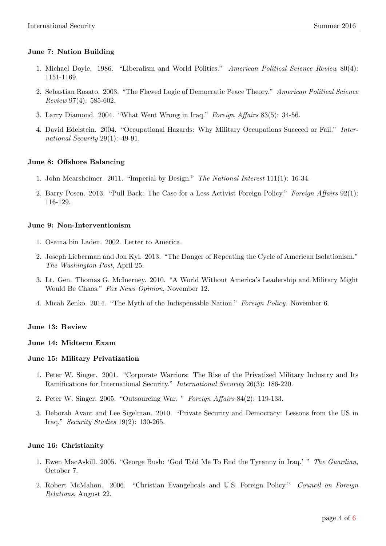# June 7: Nation Building

- 1. [Michael Doyle. 1986. "Liberalism and World Politics."](http://journals.cambridge.org/abstract_S0003055400185041) American Political Science Review 80(4): [1151-1169.](http://journals.cambridge.org/abstract_S0003055400185041)
- 2. [Sebastian Rosato. 2003. "The Flawed Logic of Democratic Peace Theory."](http://journals.cambridge.org/abstract_S0003055403000893) American Political Science Review [97\(4\): 585-602.](http://journals.cambridge.org/abstract_S0003055403000893)
- 3. [Larry Diamond. 2004. "What Went Wrong in Iraq."](http://www.jstor.org/stable/20034066) Foreign Affairs 83(5): 34-56.
- 4. [David Edelstein. 2004. "Occupational Hazards: Why Military Occupations Succeed or Fail."](http://belfercenter.ksg.harvard.edu/publication/529/occupational_hazards.html) Inter[national Security](http://belfercenter.ksg.harvard.edu/publication/529/occupational_hazards.html) 29(1): 49-91.

# June 8: Offshore Balancing

- 1. [John Mearsheimer. 2011. "Imperial by Design."](http://www.jstor.org/stable/42897726?seq=1#page_scan_tab_contents) The National Interest 111(1): 16-34.
- 2. [Barry Posen. 2013. "Pull Back: The Case for a Less Activist Foreign Policy."](http://lionelingram.com/562_Pull%20Back%20_%20Foreign%20Affairs.pdf) Foreign Affairs 92(1): [116-129.](http://lionelingram.com/562_Pull%20Back%20_%20Foreign%20Affairs.pdf)

## June 9: Non-Interventionism

- 1. [Osama bin Laden. 2002. Letter to America.](http://www.theguardian.com/world/2002/nov/24/theobserver)
- 2. [Joseph Lieberman and Jon Kyl. 2013. "The Danger of Repeating the Cycle of American Isolationism."](http://www.washingtonpost.com/opinions/the-danger-of-repeating-the-cycle-of-american-isolationism/2013/04/25/16da45f8-a90c-11e2-a8e2-5b98cb59187f_story.html) [The Washington Post](http://www.washingtonpost.com/opinions/the-danger-of-repeating-the-cycle-of-american-isolationism/2013/04/25/16da45f8-a90c-11e2-a8e2-5b98cb59187f_story.html), April 25.
- 3. [Lt. Gen. Thomas G. McInerney. 2010. "A World Without America's Leadership and Military Might](http://www.foxnews.com/opinion/2010/11/12/lt-gen-tom-mcinerney-military-united-states-chaos-havana-hitler-germany-wilson.html) [Would Be Chaos."](http://www.foxnews.com/opinion/2010/11/12/lt-gen-tom-mcinerney-military-united-states-chaos-havana-hitler-germany-wilson.html) Fox News Opinion, November 12.
- 4. [Micah Zenko. 2014. "The Myth of the Indispensable Nation."](http://foreignpolicy.com/2014/11/06/the-myth-of-the-indispensable-nation/) Foreign Policy. November 6.

### June 13: Review

## June 14: Midterm Exam

### June 15: Military Privatization

- 1. [Peter W. Singer. 2001. "Corporate Warriors: The Rise of the Privatized Military Industry and Its](http://belfercenter.ksg.harvard.edu/publication/358/corporate_warriors.html) [Ramifications for International Security."](http://belfercenter.ksg.harvard.edu/publication/358/corporate_warriors.html) International Security 26(3): 186-220.
- 2. [Peter W. Singer. 2005. "Outsourcing War. "](https://www.foreignaffairs.com/articles/2005-03-01/outsourcing-war) Foreign Affairs 84(2): 119-133.
- 3. [Deborah Avant and Lee Sigelman. 2010. "Private Security and Democracy: Lessons from the US in](http://www.tandfonline.com/doi/abs/10.1080/09636412.2010.480906) Iraq." [Security Studies](http://www.tandfonline.com/doi/abs/10.1080/09636412.2010.480906) 19(2): 130-265.

### June 16: Christianity

- 1. [Ewen MacAskill. 2005. "George Bush: 'God Told Me To End the Tyranny in Iraq.' "](http://www.theguardian.com/world/2005/oct/07/iraq.usa) The Guardian, [October 7.](http://www.theguardian.com/world/2005/oct/07/iraq.usa)
- 2. [Robert McMahon. 2006. "Christian Evangelicals and U.S. Foreign Policy."](http://www.cfr.org/religion/christian-evangelicals-us-foreign-policy/p11341) Council on Foreign Relations[, August 22.](http://www.cfr.org/religion/christian-evangelicals-us-foreign-policy/p11341)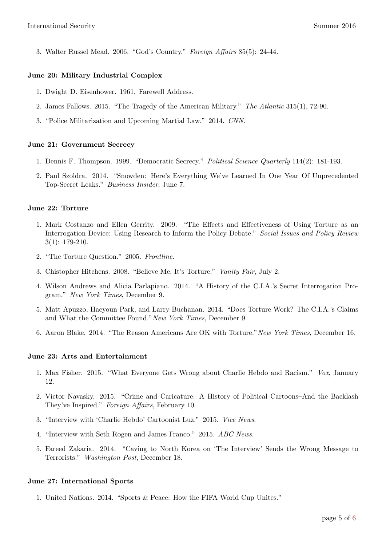3. [Walter Russel Mead. 2006. "God's Country."](https://www.foreignaffairs.com/articles/united-states/2006-09-01/gods-country) Foreign Affairs 85(5): 24-44.

## June 20: Military Industrial Complex

- 1. [Dwight D. Eisenhower. 1961. Farewell Address.](https://www.youtube.com/watch?v=x02IT5Cftgc)
- 2. [James Fallows. 2015. "The Tragedy of the American Military."](http://www.theatlantic.com/features/archive/2014/12/the-tragedy-of-the-american-military/383516/) The Atlantic 315(1), 72-90.
- 3. ["Police Militarization and Upcoming Martial Law." 2014.](https://www.youtube.com/watch?v=urQbrvjg40w) CNN.

### June 21: Government Secrecy

- 1. [Dennis F. Thompson. 1999. "Democratic Secrecy."](http://fs.huntingdon.edu/jlewis/FOIA/PolJnls/DemSecrecy-ThompsonPSQ99.htm) Political Science Quarterly 114(2): 181-193.
- 2. [Paul Szoldra. 2014. "Snowden: Here's Everything We've Learned In One Year Of Unprecedented](http://www.businessinsider.com/snowden-leaks-timeline-2014-6) [Top-Secret Leaks."](http://www.businessinsider.com/snowden-leaks-timeline-2014-6) Business Insider, June 7.

### June 22: Torture

- 1. [Mark Costanzo and Ellen Gerrity. 2009. "The Effects and Effectiveness of Using Torture as an](https://spssi.onlinelibrary.wiley.com/doi/abs/10.1111/j.1751-2409.2009.01014.x) [Interrogation Device: Using Research to Inform the Policy Debate."](https://spssi.onlinelibrary.wiley.com/doi/abs/10.1111/j.1751-2409.2009.01014.x) Social Issues and Policy Review [3\(1\): 179-210.](https://spssi.onlinelibrary.wiley.com/doi/abs/10.1111/j.1751-2409.2009.01014.x)
- 2. ["The Torture Question." 2005.](http://www.pbs.org/wgbh/pages/frontline/torture/view/) Frontline.
- 3. [Chistopher Hitchens. 2008. "Believe Me, It's Torture."](http://www.vanityfair.com/news/2008/08/hitchens200808) Vanity Fair, July 2.
- 4. [Wilson Andrews and Alicia Parlapiano. 2014. "A History of the C.I.A.'s Secret Interrogation Pro](http://www.nytimes.com/interactive/2014/12/09/world/timeline-of-cias-secret-interrogation-program.html)gram." [New York Times](http://www.nytimes.com/interactive/2014/12/09/world/timeline-of-cias-secret-interrogation-program.html), December 9.
- 5. [Matt Apuzzo, Haeyoun Park, and Larry Buchanan. 2014. "Does Torture Work? The C.I.A.'s Claims](http://www.nytimes.com/interactive/2014/12/08/world/does-torture-work-the-cias-claims-and-what-the-committee-found.html?_r=0) [and What the Committee Found."](http://www.nytimes.com/interactive/2014/12/08/world/does-torture-work-the-cias-claims-and-what-the-committee-found.html?_r=0)New York Times, December 9.
- 6. [Aaron Blake. 2014. "The Reason Americans Are OK with Torture."](http://www.washingtonpost.com/blogs/the-fix/wp/2014/12/16/the-real-reason-americans-dont-care-about-torture/)New York Times, December 16.

### June 23: Arts and Entertainment

- 1. [Max Fisher. 2015. "What Everyone Gets Wrong about Charlie Hebdo and Racism."](http://www.vox.com/2015/1/12/7518349/charlie-hebdo-racist) Vox, January [12.](http://www.vox.com/2015/1/12/7518349/charlie-hebdo-racist)
- 2. [Victor Navasky. 2015. "Crime and Caricature: A History of Political Cartoons–And the Backlash](https://www.foreignaffairs.com/articles/2015-02-10/crime-and-caricature) [They've Inspired."](https://www.foreignaffairs.com/articles/2015-02-10/crime-and-caricature) Foreign Affairs, February 10.
- 3. ["Interview with 'Charlie Hebdo' Cartoonist Luz." 2015.](https://www.youtube.com/watch?v=ebL1oCy6tgY) Vice News.
- 4. ["Interview with Seth Rogen and James Franco." 2015.](http://abcnews.go.com/Nightline/video/seth-rogen-interview-meant-controversial-27626450) ABC News.
- 5. [Fareed Zakaria. 2014. "Caving to North Korea on 'The Interview' Sends the Wrong Message to](http://www.washingtonpost.com/opinions/fareed-zakaria-caving-to-north-korea-creates-a-new-danger/2014/12/18/46a5f2b4-86f5-11e4-9534-f79a23c40e6c_story.html) Terrorists." [Washington Post](http://www.washingtonpost.com/opinions/fareed-zakaria-caving-to-north-korea-creates-a-new-danger/2014/12/18/46a5f2b4-86f5-11e4-9534-f79a23c40e6c_story.html), December 18.

### June 27: International Sports

1. [United Nations. 2014. "Sports & Peace: How the FIFA World Cup Unites."](http://cal.unac.org/blog/sports-peace-how-the-fifa-world-cup-unites/)